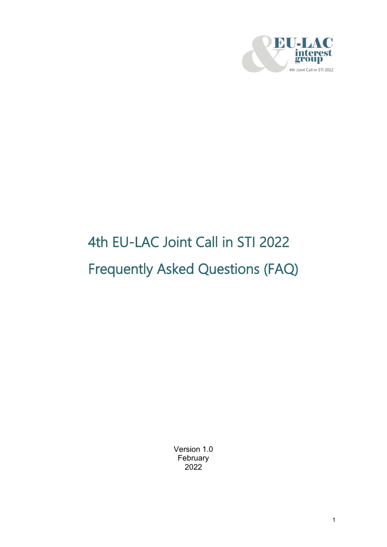

# 4th EU-LAC Joint Call in STI 2022 Frequently Asked Questions (FAQ)

Version 1.0 February 2022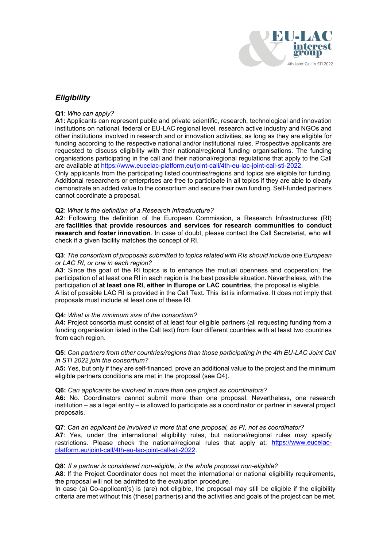

# *Eligibility*

#### **Q1**: *Who can apply?*

**A1:** Applicants can represent public and private scientific, research, technological and innovation institutions on national, federal or EU-LAC regional level, research active industry and NGOs and other institutions involved in research and or innovation activities, as long as they are eligible for funding according to the respective national and/or institutional rules. Prospective applicants are requested to discuss eligibility with their national/regional funding organisations. The funding organisations participating in the call and their national/regional regulations that apply to the Call are available at [https://www.eucelac-platform.eu/joint-call/4th-eu-lac-joint-call-sti-2022.](https://www.eucelac-platform.eu/joint-call/4th-eu-lac-joint-call-sti-2022)

Only applicants from the participating listed countries/regions and topics are eligible for funding. Additional researchers or enterprises are free to participate in all topics if they are able to clearly demonstrate an added value to the consortium and secure their own funding. Self-funded partners cannot coordinate a proposal.

#### **Q2**: *What is the definition of a Research Infrastructure?*

**A2**: Following the definition of the European Commission, a Research Infrastructures (RI) are **facilities that provide resources and services for research communities to conduct research and foster innovation**. In case of doubt, please contact the Call Secretariat, who will check if a given facility matches the concept of RI.

#### **Q3**: *The consortium of proposals submitted to topics related with RIs should include one European or LAC RI, or one in each region?*

**A3**: Since the goal of the RI topics is to enhance the mutual openness and cooperation, the participation of at least one RI in each region is the best possible situation. Nevertheless, with the participation of **at least one RI, either in Europe or LAC countries**, the proposal is eligible. A list of possible LAC RI is provided in the Call Text. This list is informative. It does not imply that proposals must include at least one of these RI.

#### **Q4:** *What is the minimum size of the consortium?*

**A4:** Project consortia must consist of at least four eligible partners (all requesting funding from a funding organisation listed in the Call text) from four different countries with at least two countries from each region.

#### **Q5:** *Can partners from other countries/regions than those participating in the 4th EU-LAC Joint Call in STI 2022 join the consortium?*

**A5:** Yes, but only if they are self-financed, prove an additional value to the project and the minimum eligible partners conditions are met in the proposal (see Q4).

#### **Q6:** *Can applicants be involved in more than one project as coordinators?*

**A6:** No. Coordinators cannot submit more than one proposal. Nevertheless, one research institution – as a legal entity – is allowed to participate as a coordinator or partner in several project proposals.

#### **Q7**: *Can an applicant be involved in more that one proposal, as PI, not as coordinator?*

**A7**: Yes, under the international eligibility rules, but national/regional rules may specify restrictions. Please check the national/regional rules that apply at: [https://www.eucelac](https://www.eucelac-platform.eu/joint-call/4th-eu-lac-joint-call-sti-2022)[platform.eu/joint-call/4th-eu-lac-joint-call-sti-2022.](https://www.eucelac-platform.eu/joint-call/4th-eu-lac-joint-call-sti-2022)

#### **Q8**: *If a partner is considered non-eligible, is the whole proposal non-eligible?*

**A8**: If the Project Coordinator does not meet the international or national eligibility requirements, the proposal will not be admitted to the evaluation procedure.

In case (a) Co-applicant(s) is (are) not eligible, the proposal may still be eligible if the eligibility criteria are met without this (these) partner(s) and the activities and goals of the project can be met.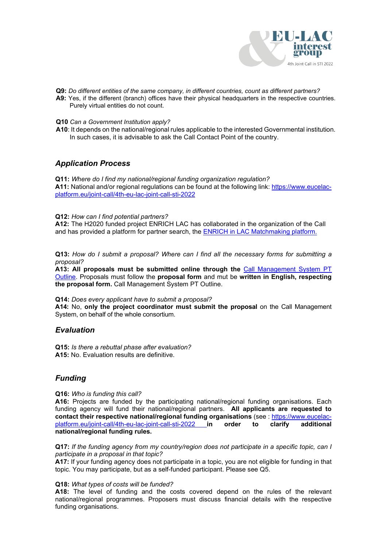

- **Q9:** *Do different entities of the same company, in different countries, count as different partners?*
- **A9:** Yes, if the different (branch) offices have their physical headquarters in the respective countries. Purely virtual entities do not count.
- **Q10** *Can a Government Institution apply?*
- **A10**: It depends on the national/regional rules applicable to the interested Governmental institution. In such cases, it is advisable to ask the Call Contact Point of the country.

## *Application Process*

**Q11:** *Where do I find my national/regional funding organization regulation?* **A11:** National and/or regional regulations can be found at the following link: [https://www.eucelac](https://www.eucelac-platform.eu/joint-call/4th-eu-lac-joint-call-sti-2022)[platform.eu/joint-call/4th-eu-lac-joint-call-sti-2022](https://www.eucelac-platform.eu/joint-call/4th-eu-lac-joint-call-sti-2022)

**Q12:** *How can I find potential partners?*

**A12:** The H2020 funded project ENRICH LAC has collaborated in the organization of the Call and has provided a platform for partner search, the [ENRICH in LAC Matchmaking platform.](https://europe-lac.b2match.io/page-2941)

**Q13:** *How do I submit a proposal? Where can I find all the necessary forms for submitting a proposal?*

**A13: All proposals must be submitted online through the** [Call Management System PT](https://ptoutline.eu/app/eu-lac-2022)  [Outline.](https://ptoutline.eu/app/eu-lac-2022) Proposals must follow the **proposal form** and mut be **written in English, respecting the proposal form.** Call Management System PT Outline.

**Q14:** *Does every applicant have to submit a proposal?*

**A14:** No, **only the project coordinator must submit the proposal** on the Call Management System, on behalf of the whole consortium.

### *Evaluation*

**Q15:** *Is there a rebuttal phase after evaluation?* **A15:** No. Evaluation results are definitive.

# *Funding*

#### **Q16:** *Who is funding this call?*

**A16:** Projects are funded by the participating national/regional funding organisations. Each funding agency will fund their national/regional partners. **All applicants are requested to contact their respective national/regional funding organisations** (see : https://www.eucelac-<br>
platform.eu/joint-call/4th-eu-lac-joint-call-sti-2022 in order to clarify additional [platform.eu/joint-call/4th-eu-lac-joint-call-sti-2022](https://www.eucelac-platform.eu/joint-call/4th-eu-lac-joint-call-sti-2022) **in** order to **national/regional funding rules.**

**Q17:** *If the funding agency from my country/region does not participate in a specific topic, can I participate in a proposal in that topic?*

**A17:** If your funding agency does not participate in a topic, you are not eligible for funding in that topic. You may participate, but as a self-funded participant. Please see Q5.

#### **Q18:** *What types of costs will be funded?*

**A18:** The level of funding and the costs covered depend on the rules of the relevant national/regional programmes. Proposers must discuss financial details with the respective funding organisations.